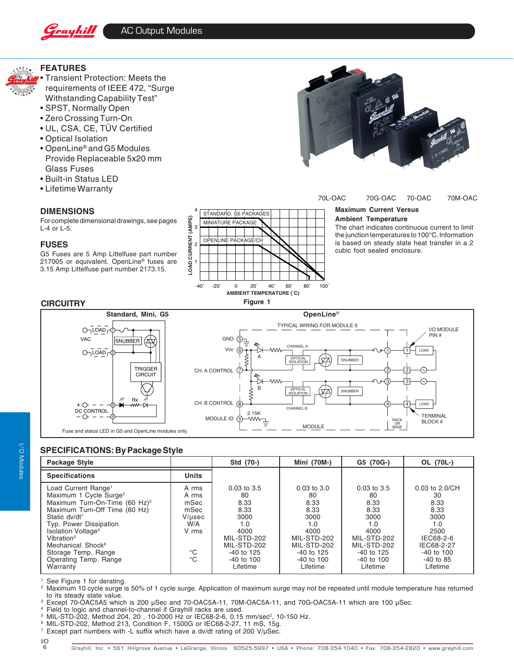



### **SPECIFICATIONS: By Package Style**

| <b>Package Style</b>                                                                                                                                                                                                                                                                                                                                                |                                                                                        | Std (70-)                                                                                                                                | Mini (70M-)                                                                                                                              | G5 (70G-)                                                                                                                                | OL (70L-)                                                                                                                                |
|---------------------------------------------------------------------------------------------------------------------------------------------------------------------------------------------------------------------------------------------------------------------------------------------------------------------------------------------------------------------|----------------------------------------------------------------------------------------|------------------------------------------------------------------------------------------------------------------------------------------|------------------------------------------------------------------------------------------------------------------------------------------|------------------------------------------------------------------------------------------------------------------------------------------|------------------------------------------------------------------------------------------------------------------------------------------|
| <b>Specifications</b>                                                                                                                                                                                                                                                                                                                                               | <b>Units</b>                                                                           |                                                                                                                                          |                                                                                                                                          |                                                                                                                                          |                                                                                                                                          |
| Load Current Range <sup>1</sup><br>Maximum 1 Cycle Surge <sup>2</sup><br>Maximum Turn-On-Time (60 Hz) <sup>3</sup><br>Maximum Turn-Off Time (60 Hz)<br>Static dv/dt <sup>7</sup><br>Typ. Power Dissipation<br>Isolation Voltage <sup>4</sup><br>Vibration <sup>5</sup><br>Mechanical Shock <sup>6</sup><br>Storage Temp. Range<br>Operating Temp. Range<br>Warranty | A rms<br>A rms<br>mSec<br>mSec<br>V/µsec<br>W/A<br>V rms<br>$^{\circ}C$<br>$^{\circ}C$ | $0.03$ to $3.5$<br>80<br>8.33<br>8.33<br>3000<br>1.0<br>4000<br>MIL-STD-202<br>MIL-STD-202<br>$-40$ to 125<br>$-40$ to $100$<br>Lifetime | $0.03$ to $3.0$<br>80<br>8.33<br>8.33<br>3000<br>1.0<br>4000<br>MIL-STD-202<br>MIL-STD-202<br>$-40$ to 125<br>$-40$ to $100$<br>Lifetime | $0.03$ to $3.5$<br>80<br>8.33<br>8.33<br>3000<br>1.0<br>4000<br>MIL-STD-202<br>MIL-STD-202<br>$-40$ to 125<br>$-40$ to $100$<br>Lifetime | $0.03$ to $2.0$ /CH<br>30<br>8.33<br>8.33<br>3000<br>1.0<br>2500<br>IEC68-2-6<br>IEC68-2-27<br>$-40$ to $100$<br>$-40$ to 85<br>Lifetime |

<sup>1</sup> See Figure 1 for derating.

Maximum 10 cycle surge is 50% of 1 cycle surge. Application of maximum surge may not be repeated until module temperature has returned to its steady state value.

<sup>3</sup> Except 70-OAC5A5 which is 200 µSec and 70-OAC5A-11, 70M-OAC5A-11, and 70G-OAC5A-11 which are 100 µSec.

<sup>4</sup> Field to logic and channel-to-channel if Grayhill racks are used.<br><sup>5</sup> MIL-STD-202 Method 204, 20 10-2000 Hz or IEC68-2-6 0.15

MIL-STD-202, Method 204, 20, 10-2000 Hz or IEC68-2-6, 0.15 mm/sec<sup>2</sup>, 10-150 Hz.

<sup>6</sup> MIL-STD-202, Method 213, Condition F, 1500G or IEC68-2-27, 11 mS, 15g.

<sup>7</sup> Except part numbers with -L suffix which have a dv/dt rating of 200 V/µSec.

I/O 6

I/O Modules

//O Modules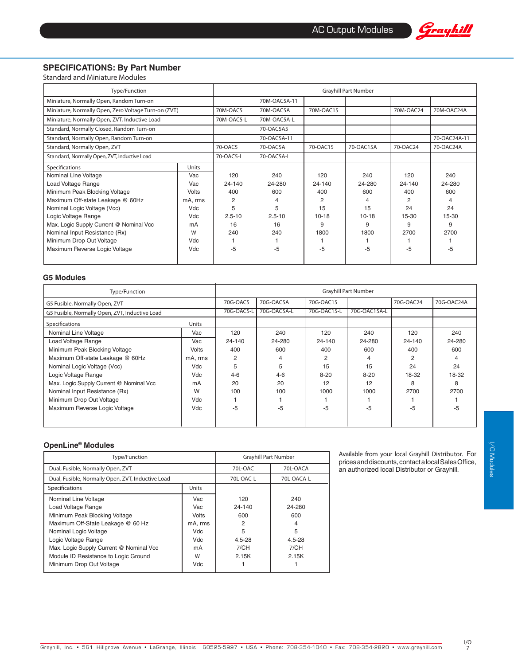

## **SPECIFICATIONS: By Part Number**

Standard and Miniature Modules

| Type/Function                                        |              | <b>Grayhill Part Number</b> |              |           |           |            |              |
|------------------------------------------------------|--------------|-----------------------------|--------------|-----------|-----------|------------|--------------|
| Miniature, Normally Open, Random Turn-on             |              |                             | 70M-OAC5A-11 |           |           |            |              |
| Miniature, Normally Open, Zero Voltage Turn-on (ZVT) |              | 70M-OAC5                    | 70M-OAC5A    | 70M-OAC15 |           | 70M-OAC24  | 70M-OAC24A   |
| Miniature, Normally Open, ZVT, Inductive Load        |              | 70M-OAC5-L                  | 70M-OAC5A-L  |           |           |            |              |
| Standard, Normally Closed, Random Turn-on            |              |                             | 70-OAC5A5    |           |           |            |              |
| Standard, Normally Open, Random Turn-on              |              |                             | 70-OAC5A-11  |           |           |            | 70-OAC24A-11 |
| Standard, Normally Open, ZVT                         |              | 70-OAC5                     | 70-OAC5A     | 70-OAC15  | 70-OAC15A | 70-OAC24   | 70-OAC24A    |
| Standard, Normally Open, ZVT, Inductive Load         |              | 70-OAC5-L                   | 70-OAC5A-L   |           |           |            |              |
| Specifications                                       | Units        |                             |              |           |           |            |              |
| Nominal Line Voltage                                 | Vac          | 120                         | 240          | 120       | 240       | 120        | 240          |
| Load Voltage Range                                   | Vac          | 24-140                      | 24-280       | 24-140    | 24-280    | $24 - 140$ | 24-280       |
| Minimum Peak Blocking Voltage                        | <b>Volts</b> | 400                         | 600          | 400       | 600       | 400        | 600          |
| Maximum Off-state Leakage @ 60Hz                     | mA, rms      | 2                           | 4            | 2         |           | 2          | 4            |
| Nominal Logic Voltage (Vcc)                          | Vdc          | 5                           | 5            | 15        | 15        | 24         | 24           |
| Logic Voltage Range                                  | Vdc          | $2.5 - 10$                  | $2.5 - 10$   | $10 - 18$ | $10 - 18$ | 15-30      | 15-30        |
| Max. Logic Supply Current @ Nominal Vcc              | mA           | 16                          | 16           | 9         | 9         | 9          | 9            |
| Nominal Input Resistance (Rx)                        | W            | 240                         | 240          | 1800      | 1800      | 2700       | 2700         |
| Minimum Drop Out Voltage                             | Vdc          |                             |              |           |           |            |              |
| Maximum Reverse Logic Voltage                        | Vdc          | -5                          | -5           | -5        | -5        | -5         | -5           |
|                                                      |              |                             |              |           |           |            |              |

#### **G5 Modules**

| Type/Function                                  |         | <b>Grayhill Part Number</b> |             |             |              |           |            |  |
|------------------------------------------------|---------|-----------------------------|-------------|-------------|--------------|-----------|------------|--|
| G5 Fusible, Normally Open, ZVT                 |         | 70G-OAC5                    | 70G-OAC5A   | 70G-OAC15   |              | 70G-OAC24 | 70G-OAC24A |  |
| G5 Fusible, Normally Open, ZVT, Inductive Load |         | 70G-OAC5-I                  | 70G-OAC5A-L | 70G-OAC15-L | 70G-OAC15A-L |           |            |  |
| Specifications                                 | Units   |                             |             |             |              |           |            |  |
| Nominal Line Voltage                           | Vac     | 120                         | 240         | 120         | 240          | 120       | 240        |  |
| Load Voltage Range                             | Vac     | 24-140                      | 24-280      | 24-140      | 24-280       | 24-140    | 24-280     |  |
| Minimum Peak Blocking Voltage                  | Volts   | 400                         | 600         | 400         | 600          | 400       | 600        |  |
| Maximum Off-state Leakage @ 60Hz               | mA, rms | $\overline{2}$              | 4           |             | 4            | 2         | 4          |  |
| Nominal Logic Voltage (Vcc)                    | Vdc     | 5                           | 5           | 15          | 15           | 24        | 24         |  |
| Logic Voltage Range                            | Vdc     | $4 - 6$                     | $4 - 6$     | $8 - 20$    | $8 - 20$     | 18-32     | 18-32      |  |
| Max. Logic Supply Current @ Nominal Vcc        | mA      | 20                          | 20          | 12          | 12           | 8         | 8          |  |
| Nominal Input Resistance (Rx)                  | W       | 100                         | 100         | 1000        | 1000         | 2700      | 2700       |  |
| Minimum Drop Out Voltage                       | Vdc     |                             |             |             |              |           |            |  |
| Maximum Reverse Logic Voltage                  | Vdc     | -5                          | -5          | $-5$        | -5           | $-5$      | -5         |  |
|                                                |         |                             |             |             |              |           |            |  |

#### **OpenLine® Modules**

| Type/Function                                                                                                                                                                                                                                       | <b>Grayhill Part Number</b>                             |                                                           |                                                           |  |
|-----------------------------------------------------------------------------------------------------------------------------------------------------------------------------------------------------------------------------------------------------|---------------------------------------------------------|-----------------------------------------------------------|-----------------------------------------------------------|--|
| Dual, Fusible, Normally Open, ZVT                                                                                                                                                                                                                   |                                                         | 70L-OAC                                                   | 70L-OACA                                                  |  |
| Dual, Fusible, Normally Open, ZVT, Inductive Load                                                                                                                                                                                                   |                                                         | 70L-OAC-L                                                 | 70L-OACA-L                                                |  |
| Specifications                                                                                                                                                                                                                                      | Units                                                   |                                                           |                                                           |  |
| Nominal Line Voltage<br>Load Voltage Range<br>Minimum Peak Blocking Voltage<br>Maximum Off-State Leakage @ 60 Hz<br>Nominal Logic Voltage<br>Logic Voltage Range<br>Max. Logic Supply Current @ Nominal Vcc<br>Module ID Resistance to Logic Ground | Vac<br>Vac<br>Volts<br>mA, rms<br>Vdc<br>Vdc<br>mA<br>W | 120<br>24-140<br>600<br>2<br>5<br>4.5-28<br>7/CH<br>2.15K | 240<br>24-280<br>600<br>4<br>5<br>4.5-28<br>7/CH<br>2.15K |  |
| Minimum Drop Out Voltage                                                                                                                                                                                                                            | Vdc                                                     |                                                           |                                                           |  |

Available from your local Grayhill Distributor. For prices and discounts, contact a local Sales Office, an authorized local Distributor or Grayhill.